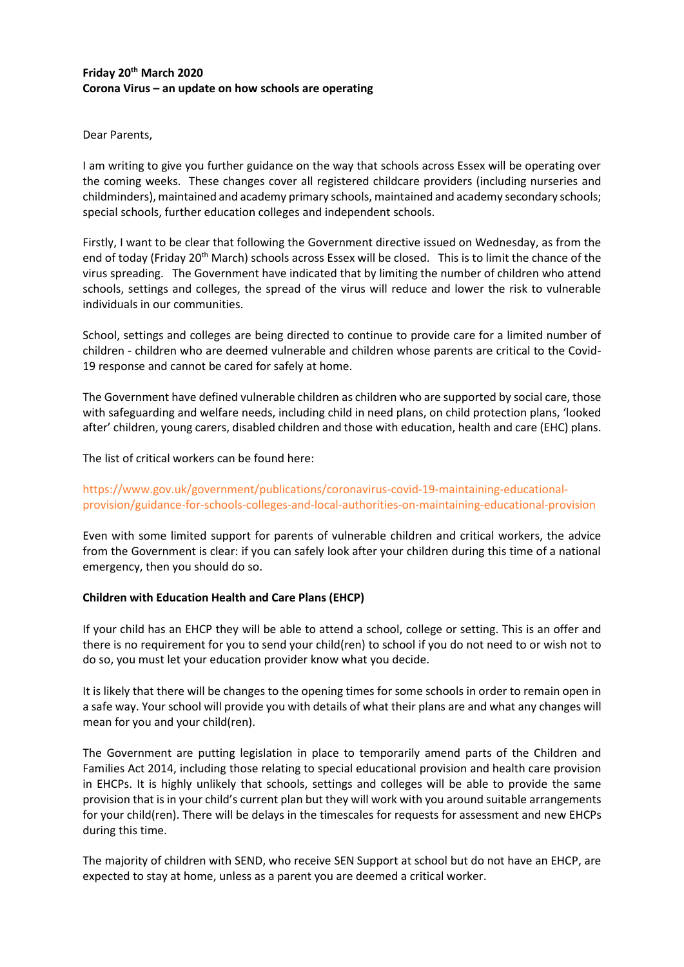# **Friday 20th March 2020 Corona Virus – an update on how schools are operating**

Dear Parents,

I am writing to give you further guidance on the way that schools across Essex will be operating over the coming weeks. These changes cover all registered childcare providers (including nurseries and childminders), maintained and academy primary schools, maintained and academy secondary schools; special schools, further education colleges and independent schools.

Firstly, I want to be clear that following the Government directive issued on Wednesday, as from the end of today (Friday 20<sup>th</sup> March) schools across Essex will be closed. This is to limit the chance of the virus spreading. The Government have indicated that by limiting the number of children who attend schools, settings and colleges, the spread of the virus will reduce and lower the risk to vulnerable individuals in our communities.

School, settings and colleges are being directed to continue to provide care for a limited number of children - children who are deemed vulnerable and children whose parents are critical to the Covid-19 response and cannot be cared for safely at home.

The Government have defined vulnerable children as children who are supported by social care, those with safeguarding and welfare needs, including child in need plans, on child protection plans, 'looked after' children, young carers, disabled children and those with [education, health and care \(EHC\) plans.](https://www.gov.uk/children-with-special-educational-needs/extra-SEN-help)

The list of critical workers can be found here:

[https://www.gov.uk/government/publications/coronavirus-covid-19-maintaining-educational](https://www.gov.uk/government/publications/coronavirus-covid-19-maintaining-educational-provision/guidance-for-schools-colleges-and-local-authorities-on-maintaining-educational-provision)[provision/guidance-for-schools-colleges-and-local-authorities-on-maintaining-educational-provision](https://www.gov.uk/government/publications/coronavirus-covid-19-maintaining-educational-provision/guidance-for-schools-colleges-and-local-authorities-on-maintaining-educational-provision)

Even with some limited support for parents of vulnerable children and critical workers, the advice from the Government is clear: if you can safely look after your children during this time of a national emergency, then you should do so.

## **Children with Education Health and Care Plans (EHCP)**

If your child has an EHCP they will be able to attend a school, college or setting. This is an offer and there is no requirement for you to send your child(ren) to school if you do not need to or wish not to do so, you must let your education provider know what you decide.

It is likely that there will be changes to the opening times for some schools in order to remain open in a safe way. Your school will provide you with details of what their plans are and what any changes will mean for you and your child(ren).

The Government are putting legislation in place to temporarily amend parts of the Children and Families Act 2014, including those relating to special educational provision and health care provision in EHCPs. It is highly unlikely that schools, settings and colleges will be able to provide the same provision that is in your child's current plan but they will work with you around suitable arrangements for your child(ren). There will be delays in the timescales for requests for assessment and new EHCPs during this time.

The majority of children with SEND, who receive SEN Support at school but do not have an EHCP, are expected to stay at home, unless as a parent you are deemed a critical worker.